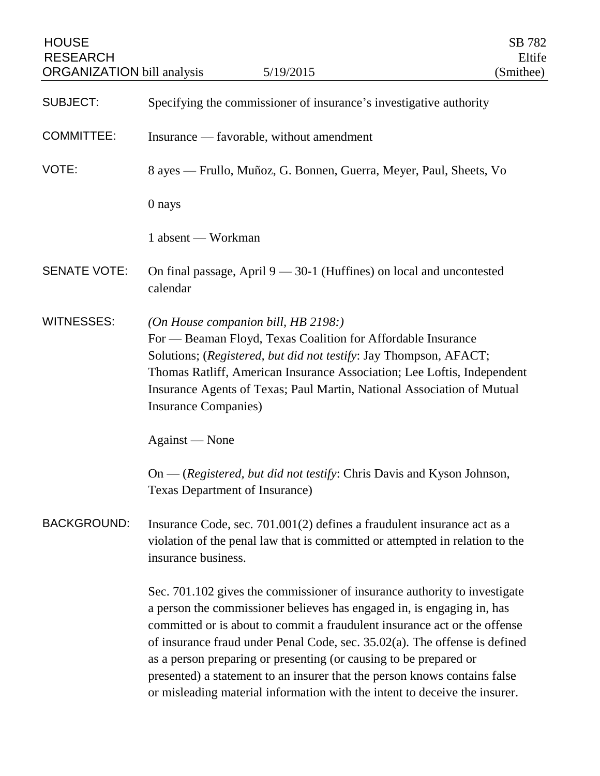| <b>HOUSE</b><br><b>RESEARCH</b><br><b>ORGANIZATION</b> bill analysis | 5/19/2015                                                                                                                                                                                                                                                                                                                                                                                                                                                                                                                                         | SB 782<br>Eltife<br>(Smithee) |
|----------------------------------------------------------------------|---------------------------------------------------------------------------------------------------------------------------------------------------------------------------------------------------------------------------------------------------------------------------------------------------------------------------------------------------------------------------------------------------------------------------------------------------------------------------------------------------------------------------------------------------|-------------------------------|
| <b>SUBJECT:</b>                                                      | Specifying the commissioner of insurance's investigative authority                                                                                                                                                                                                                                                                                                                                                                                                                                                                                |                               |
| <b>COMMITTEE:</b>                                                    | Insurance — favorable, without amendment                                                                                                                                                                                                                                                                                                                                                                                                                                                                                                          |                               |
| VOTE:                                                                | 8 ayes — Frullo, Muñoz, G. Bonnen, Guerra, Meyer, Paul, Sheets, Vo                                                                                                                                                                                                                                                                                                                                                                                                                                                                                |                               |
|                                                                      | 0 nays                                                                                                                                                                                                                                                                                                                                                                                                                                                                                                                                            |                               |
|                                                                      | 1 absent — Workman                                                                                                                                                                                                                                                                                                                                                                                                                                                                                                                                |                               |
| <b>SENATE VOTE:</b>                                                  | On final passage, April $9 - 30 - 1$ (Huffines) on local and uncontested<br>calendar                                                                                                                                                                                                                                                                                                                                                                                                                                                              |                               |
| <b>WITNESSES:</b>                                                    | (On House companion bill, HB 2198:)<br>For — Beaman Floyd, Texas Coalition for Affordable Insurance<br>Solutions; (Registered, but did not testify: Jay Thompson, AFACT;<br>Thomas Ratliff, American Insurance Association; Lee Loftis, Independent<br>Insurance Agents of Texas; Paul Martin, National Association of Mutual<br>Insurance Companies)                                                                                                                                                                                             |                               |
|                                                                      | Against — None                                                                                                                                                                                                                                                                                                                                                                                                                                                                                                                                    |                               |
|                                                                      | On — (Registered, but did not testify: Chris Davis and Kyson Johnson,<br>Texas Department of Insurance)                                                                                                                                                                                                                                                                                                                                                                                                                                           |                               |
| <b>BACKGROUND:</b>                                                   | Insurance Code, sec. 701.001(2) defines a fraudulent insurance act as a<br>violation of the penal law that is committed or attempted in relation to the<br>insurance business.                                                                                                                                                                                                                                                                                                                                                                    |                               |
|                                                                      | Sec. 701.102 gives the commissioner of insurance authority to investigate<br>a person the commissioner believes has engaged in, is engaging in, has<br>committed or is about to commit a fraudulent insurance act or the offense<br>of insurance fraud under Penal Code, sec. $35.02(a)$ . The offense is defined<br>as a person preparing or presenting (or causing to be prepared or<br>presented) a statement to an insurer that the person knows contains false<br>or misleading material information with the intent to deceive the insurer. |                               |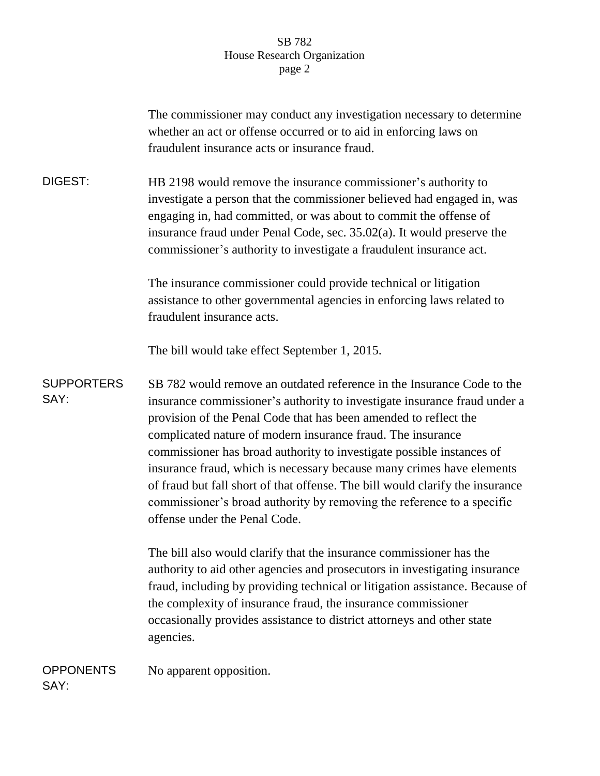## SB 782 House Research Organization page 2

|                           | The commissioner may conduct any investigation necessary to determine<br>whether an act or offense occurred or to aid in enforcing laws on<br>fraudulent insurance acts or insurance fraud.                                                                                                                                                                                                                                                                                                                                                                                                                                          |
|---------------------------|--------------------------------------------------------------------------------------------------------------------------------------------------------------------------------------------------------------------------------------------------------------------------------------------------------------------------------------------------------------------------------------------------------------------------------------------------------------------------------------------------------------------------------------------------------------------------------------------------------------------------------------|
| <b>DIGEST:</b>            | HB 2198 would remove the insurance commissioner's authority to<br>investigate a person that the commissioner believed had engaged in, was<br>engaging in, had committed, or was about to commit the offense of<br>insurance fraud under Penal Code, sec. 35.02(a). It would preserve the<br>commissioner's authority to investigate a fraudulent insurance act.                                                                                                                                                                                                                                                                      |
|                           | The insurance commissioner could provide technical or litigation<br>assistance to other governmental agencies in enforcing laws related to<br>fraudulent insurance acts.                                                                                                                                                                                                                                                                                                                                                                                                                                                             |
|                           | The bill would take effect September 1, 2015.                                                                                                                                                                                                                                                                                                                                                                                                                                                                                                                                                                                        |
| <b>SUPPORTERS</b><br>SAY: | SB 782 would remove an outdated reference in the Insurance Code to the<br>insurance commissioner's authority to investigate insurance fraud under a<br>provision of the Penal Code that has been amended to reflect the<br>complicated nature of modern insurance fraud. The insurance<br>commissioner has broad authority to investigate possible instances of<br>insurance fraud, which is necessary because many crimes have elements<br>of fraud but fall short of that offense. The bill would clarify the insurance<br>commissioner's broad authority by removing the reference to a specific<br>offense under the Penal Code. |
|                           | The bill also would clarify that the insurance commissioner has the<br>authority to aid other agencies and prosecutors in investigating insurance<br>fraud, including by providing technical or litigation assistance. Because of<br>the complexity of insurance fraud, the insurance commissioner<br>occasionally provides assistance to district attorneys and other state<br>agencies.                                                                                                                                                                                                                                            |
| <b>OPPONENTS</b><br>SAY:  | No apparent opposition.                                                                                                                                                                                                                                                                                                                                                                                                                                                                                                                                                                                                              |